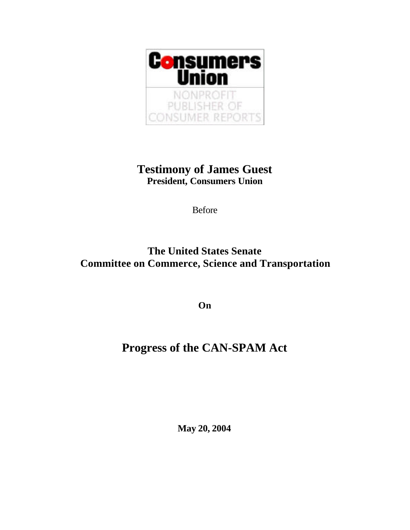

## **Testimony of James Guest President, Consumers Union**

Before

## **The United States Senate Committee on Commerce, Science and Transportation**

**On**

## **Progress of the CAN-SPAM Act**

**May 20, 2004**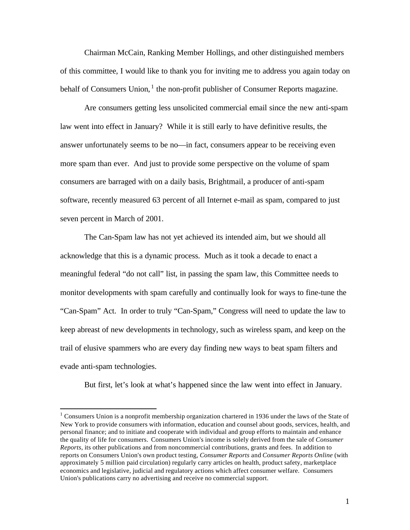Chairman McCain, Ranking Member Hollings, and other distinguished members of this committee, I would like to thank you for inviting me to address you again today on behalf of Consumers Union, <sup>1</sup> the non-profit publisher of Consumer Reports magazine.

Are consumers getting less unsolicited commercial email since the new anti-spam law went into effect in January? While it is still early to have definitive results, the answer unfortunately seems to be no—in fact, consumers appear to be receiving even more spam than ever. And just to provide some perspective on the volume of spam consumers are barraged with on a daily basis, Brightmail, a producer of anti-spam software, recently measured 63 percent of all Internet e-mail as spam, compared to just seven percent in March of 2001.

The Can-Spam law has not yet achieved its intended aim, but we should all acknowledge that this is a dynamic process. Much as it took a decade to enact a meaningful federal "do not call" list, in passing the spam law, this Committee needs to monitor developments with spam carefully and continually look for ways to fine-tune the "Can-Spam" Act. In order to truly "Can-Spam," Congress will need to update the law to keep abreast of new developments in technology, such as wireless spam, and keep on the trail of elusive spammers who are every day finding new ways to beat spam filters and evade anti-spam technologies.

But first, let's look at what's happened since the law went into effect in January.

 $\overline{a}$ 

 $1$  Consumers Union is a nonprofit membership organization chartered in 1936 under the laws of the State of New York to provide consumers with information, education and counsel about goods, services, health, and personal finance; and to initiate and cooperate with individual and group efforts to maintain and enhance the quality of life for consumers. Consumers Union's income is solely derived from the sale of *Consumer Reports*, its other publications and from noncommercial contributions, grants and fees. In addition to reports on Consumers Union's own product testing, *Consumer Reports* and *Consumer Reports Online* (with approximately 5 million paid circulation) regularly carry articles on health, product safety, marketplace economics and legislative, judicial and regulatory actions which affect consumer welfare. Consumers Union's publications carry no advertising and receive no commercial support.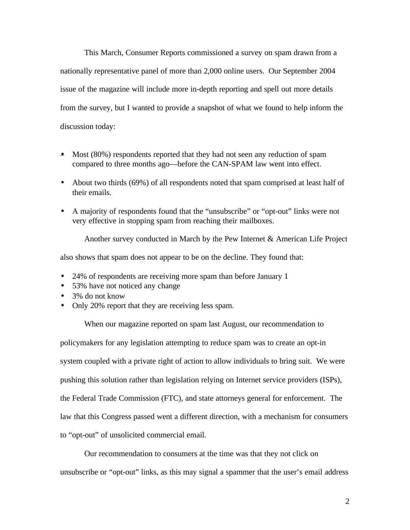This March, Consumer Reports commissioned a survey on spam drawn from a nationally representative panel of more than 2,000 online users. Our September 2004 issue of the magazine will include more in-depth reporting and spell out more details from the survey, but I wanted to provide a snapshot of what we found to help inform the discussion today:

- Most (80%) respondents reported that they had not seen any reduction of spam compared to three months ago—before the CAN-SPAM law went into effect.
- About two thirds (69%) of all respondents noted that spam comprised at least half of their emails.
- A majority of respondents found that the "unsubscribe" or "opt-out" links were not very effective in stopping spam from reaching their mailboxes.

Another survey conducted in March by the Pew Internet & American Life Project

also shows that spam does not appear to be on the decline. They found that:

- 24% of respondents are receiving more spam than before January 1
- 53% have not noticed any change
- 3% do not know
- Only 20% report that they are receiving less spam.

When our magazine reported on spam last August, our recommendation to

policymakers for any legislation attempting to reduce spam was to create an opt-in system coupled with a private right of action to allow individuals to bring suit. We were pushing this solution rather than legislation relying on Internet service providers (ISPs), the Federal Trade Commission (FTC), and state attorneys general for enforcement. The law that this Congress passed went a different direction, with a mechanism for consumers to "opt-out" of unsolicited commercial email.

Our recommendation to consumers at the time was that they not click on unsubscribe or "opt-out" links, as this may signal a spammer that the user's email address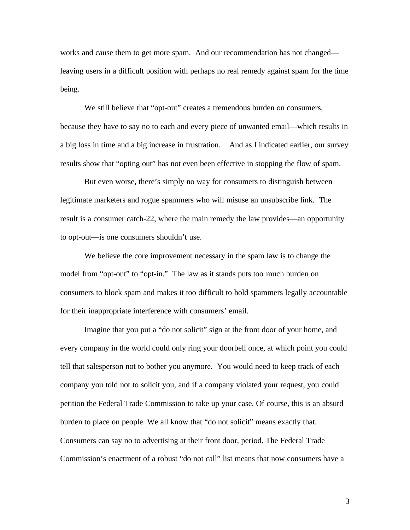works and cause them to get more spam. And our recommendation has not changed leaving users in a difficult position with perhaps no real remedy against spam for the time being.

We still believe that "opt-out" creates a tremendous burden on consumers, because they have to say no to each and every piece of unwanted email—which results in a big loss in time and a big increase in frustration. And as I indicated earlier, our survey results show that "opting out" has not even been effective in stopping the flow of spam.

But even worse, there's simply no way for consumers to distinguish between legitimate marketers and rogue spammers who will misuse an unsubscribe link. The result is a consumer catch-22, where the main remedy the law provides—an opportunity to opt-out—is one consumers shouldn't use.

We believe the core improvement necessary in the spam law is to change the model from "opt-out" to "opt-in." The law as it stands puts too much burden on consumers to block spam and makes it too difficult to hold spammers legally accountable for their inappropriate interference with consumers' email.

Imagine that you put a "do not solicit" sign at the front door of your home, and every company in the world could only ring your doorbell once, at which point you could tell that salesperson not to bother you anymore. You would need to keep track of each company you told not to solicit you, and if a company violated your request, you could petition the Federal Trade Commission to take up your case. Of course, this is an absurd burden to place on people. We all know that "do not solicit" means exactly that. Consumers can say no to advertising at their front door, period. The Federal Trade Commission's enactment of a robust "do not call" list means that now consumers have a

3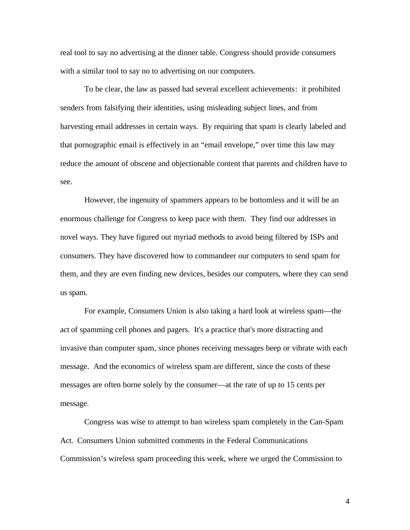real tool to say no advertising at the dinner table. Congress should provide consumers with a similar tool to say no to advertising on our computers.

To be clear, the law as passed had several excellent achievements: it prohibited senders from falsifying their identities, using misleading subject lines, and from harvesting email addresses in certain ways. By requiring that spam is clearly labeled and that pornographic email is effectively in an "email envelope," over time this law may reduce the amount of obscene and objectionable content that parents and children have to see.

However, the ingenuity of spammers appears to be bottomless and it will be an enormous challenge for Congress to keep pace with them. They find our addresses in novel ways. They have figured out myriad methods to avoid being filtered by ISPs and consumers. They have discovered how to commandeer our computers to send spam for them, and they are even finding new devices, besides our computers, where they can send us spam.

For example, Consumers Union is also taking a hard look at wireless spam—the act of spamming cell phones and pagers. It's a practice that's more distracting and invasive than computer spam, since phones receiving messages beep or vibrate with each message. And the economics of wireless spam are different, since the costs of these messages are often borne solely by the consumer—at the rate of up to 15 cents per message.

Congress was wise to attempt to ban wireless spam completely in the Can-Spam Act. Consumers Union submitted comments in the Federal Communications Commission's wireless spam proceeding this week, where we urged the Commission to

4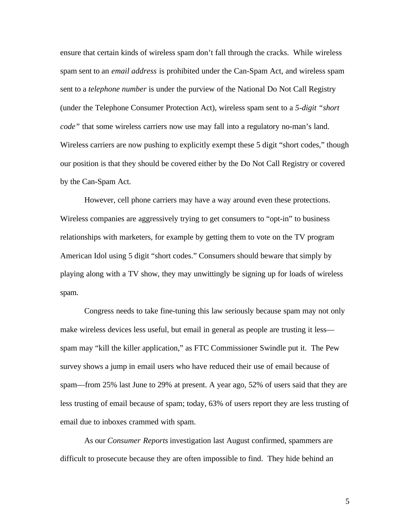ensure that certain kinds of wireless spam don't fall through the cracks. While wireless spam sent to an *email address* is prohibited under the Can-Spam Act, and wireless spam sent to a *telephone number* is under the purview of the National Do Not Call Registry (under the Telephone Consumer Protection Act), wireless spam sent to a *5-digit "short code"* that some wireless carriers now use may fall into a regulatory no-man's land. Wireless carriers are now pushing to explicitly exempt these 5 digit "short codes," though our position is that they should be covered either by the Do Not Call Registry or covered by the Can-Spam Act.

However, cell phone carriers may have a way around even these protections. Wireless companies are aggressively trying to get consumers to "opt-in" to business relationships with marketers, for example by getting them to vote on the TV program American Idol using 5 digit "short codes." Consumers should beware that simply by playing along with a TV show, they may unwittingly be signing up for loads of wireless spam.

Congress needs to take fine-tuning this law seriously because spam may not only make wireless devices less useful, but email in general as people are trusting it less spam may "kill the killer application," as FTC Commissioner Swindle put it. The Pew survey shows a jump in email users who have reduced their use of email because of spam—from 25% last June to 29% at present. A year ago, 52% of users said that they are less trusting of email because of spam; today, 63% of users report they are less trusting of email due to inboxes crammed with spam.

As our *Consumer Reports* investigation last August confirmed, spammers are difficult to prosecute because they are often impossible to find. They hide behind an

5